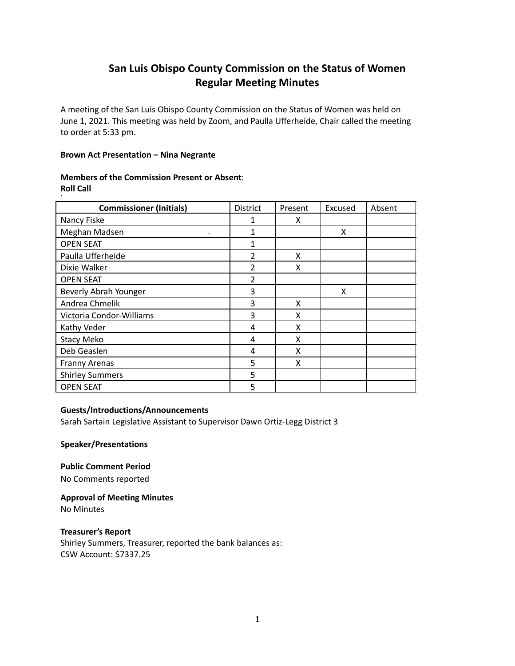# **San Luis Obispo County Commission on the Status of Women Regular Meeting Minutes**

A meeting of the San Luis Obispo County Commission on the Status of Women was held on June 1, 2021. This meeting was held by Zoom, and Paulla Ufferheide, Chair called the meeting to order at 5:33 pm.

## **Brown Act Presentation – Nina Negrante**

# **Members of the Commission Present or Absent**: **Roll Call**

| <b>Commissioner (Initials)</b> | District       | Present | Excused | Absent |
|--------------------------------|----------------|---------|---------|--------|
| Nancy Fiske                    | 1              | x       |         |        |
| Meghan Madsen<br>$\bullet$     | 1              |         | X       |        |
| <b>OPEN SEAT</b>               | 1              |         |         |        |
| Paulla Ufferheide              | $\overline{2}$ | X       |         |        |
| Dixie Walker                   | 2              | X       |         |        |
| <b>OPEN SEAT</b>               | $\overline{2}$ |         |         |        |
| Beverly Abrah Younger          | 3              |         | X       |        |
| Andrea Chmelik                 | 3              | x       |         |        |
| Victoria Condor-Williams       | 3              | X       |         |        |
| Kathy Veder                    | 4              | Χ       |         |        |
| <b>Stacy Meko</b>              | 4              | X       |         |        |
| Deb Geaslen                    | 4              | X       |         |        |
| Franny Arenas                  | 5              | X       |         |        |
| <b>Shirley Summers</b>         | 5              |         |         |        |
| <b>OPEN SEAT</b>               | 5              |         |         |        |

# **Guests/Introductions/Announcements**

Sarah Sartain Legislative Assistant to Supervisor Dawn Ortiz-Legg District 3

**Speaker/Presentations**

**Public Comment Period**

No Comments reported

**Approval of Meeting Minutes** No Minutes

**Treasurer's Report** Shirley Summers, Treasurer, reported the bank balances as: CSW Account: \$7337.25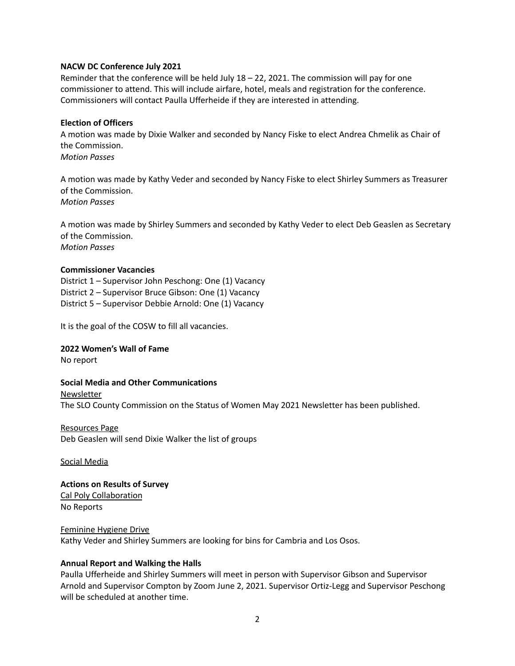#### **NACW DC Conference July 2021**

Reminder that the conference will be held July 18 – 22, 2021. The commission will pay for one commissioner to attend. This will include airfare, hotel, meals and registration for the conference. Commissioners will contact Paulla Ufferheide if they are interested in attending.

## **Election of Officers**

A motion was made by Dixie Walker and seconded by Nancy Fiske to elect Andrea Chmelik as Chair of the Commission. *Motion Passes*

A motion was made by Kathy Veder and seconded by Nancy Fiske to elect Shirley Summers as Treasurer of the Commission. *Motion Passes*

A motion was made by Shirley Summers and seconded by Kathy Veder to elect Deb Geaslen as Secretary of the Commission. *Motion Passes*

#### **Commissioner Vacancies**

District 1 – Supervisor John Peschong: One (1) Vacancy District 2 – Supervisor Bruce Gibson: One (1) Vacancy District 5 – Supervisor Debbie Arnold: One (1) Vacancy

It is the goal of the COSW to fill all vacancies.

#### **2022 Women's Wall of Fame**

No report

## **Social Media and Other Communications**

Newsletter

The SLO County Commission on the Status of Women May 2021 Newsletter has been published.

Resources Page

Deb Geaslen will send Dixie Walker the list of groups

#### Social Media

# **Actions on Results of Survey**

Cal Poly Collaboration No Reports

#### Feminine Hygiene Drive

Kathy Veder and Shirley Summers are looking for bins for Cambria and Los Osos.

#### **Annual Report and Walking the Halls**

Paulla Ufferheide and Shirley Summers will meet in person with Supervisor Gibson and Supervisor Arnold and Supervisor Compton by Zoom June 2, 2021. Supervisor Ortiz-Legg and Supervisor Peschong will be scheduled at another time.